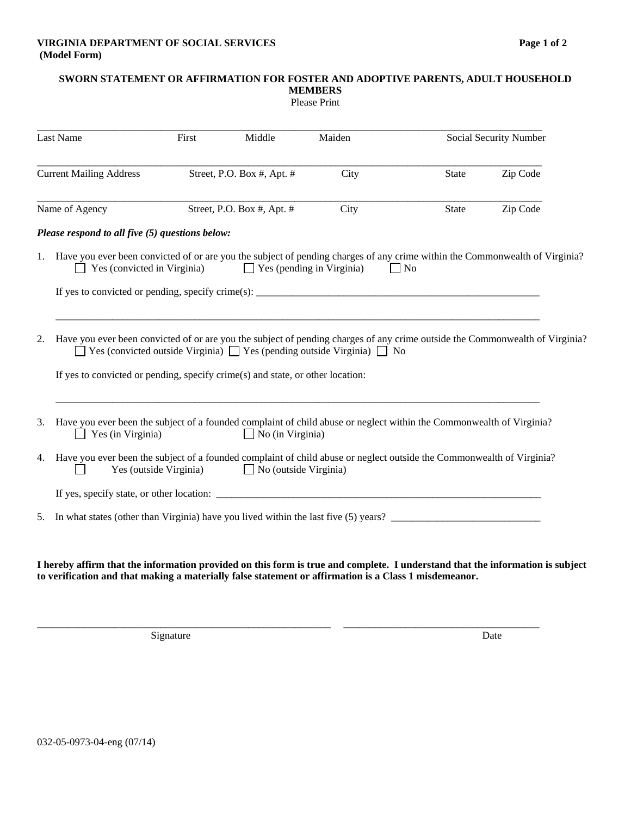## **SWORN STATEMENT OR AFFIRMATION FOR FOSTER AND ADOPTIVE PARENTS, ADULT HOUSEHOLD MEMBERS**

| <b>Please Print</b> |
|---------------------|
|---------------------|

| Last Name<br><b>Current Mailing Address</b> |                                                                                                                                                                                                                                                                                                           | First                      | Middle                           | Maiden | Social Security Number                                                                                                                       |  |  |
|---------------------------------------------|-----------------------------------------------------------------------------------------------------------------------------------------------------------------------------------------------------------------------------------------------------------------------------------------------------------|----------------------------|----------------------------------|--------|----------------------------------------------------------------------------------------------------------------------------------------------|--|--|
|                                             |                                                                                                                                                                                                                                                                                                           | Street, P.O. Box #, Apt. # |                                  | City   | Zip Code<br>State                                                                                                                            |  |  |
|                                             | Name of Agency                                                                                                                                                                                                                                                                                            |                            | Street, P.O. Box #, Apt. #       | City   | <b>State</b><br>Zip Code                                                                                                                     |  |  |
|                                             | Please respond to all five (5) questions below:                                                                                                                                                                                                                                                           |                            |                                  |        |                                                                                                                                              |  |  |
|                                             | Yes (convicted in Virginia)                                                                                                                                                                                                                                                                               |                            | $\Box$ Yes (pending in Virginia) |        | 1. Have you ever been convicted of or are you the subject of pending charges of any crime within the Commonwealth of Virginia?<br>$\vert$ No |  |  |
|                                             |                                                                                                                                                                                                                                                                                                           |                            |                                  |        |                                                                                                                                              |  |  |
| 2.                                          | Have you ever been convicted of or are you the subject of pending charges of any crime outside the Commonwealth of Virginia?<br>$\Box$ Yes (convicted outside Virginia) $\Box$ Yes (pending outside Virginia) $\Box$ No<br>If yes to convicted or pending, specify crime(s) and state, or other location: |                            |                                  |        |                                                                                                                                              |  |  |
| 3.                                          | Yes (in Virginia)                                                                                                                                                                                                                                                                                         |                            | $\Box$ No (in Virginia)          |        | Have you ever been the subject of a founded complaint of child abuse or neglect within the Commonwealth of Virginia?                         |  |  |
| 4.                                          | Yes (outside Virginia)                                                                                                                                                                                                                                                                                    |                            | $\Box$ No (outside Virginia)     |        | Have you ever been the subject of a founded complaint of child abuse or neglect outside the Commonwealth of Virginia?                        |  |  |
|                                             |                                                                                                                                                                                                                                                                                                           |                            |                                  |        |                                                                                                                                              |  |  |
| 5.                                          |                                                                                                                                                                                                                                                                                                           |                            |                                  |        | In what states (other than Virginia) have you lived within the last five (5) years?                                                          |  |  |

**I hereby affirm that the information provided on this form is true and complete. I understand that the information is subject to verification and that making a materially false statement or affirmation is a Class 1 misdemeanor.** 

\_\_\_\_\_\_\_\_\_\_\_\_\_\_\_\_\_\_\_\_\_\_\_\_\_\_\_\_\_\_\_\_\_\_\_\_\_\_\_\_\_\_\_\_\_\_\_\_\_\_\_\_\_\_\_\_\_ \_\_\_\_\_\_\_\_\_\_\_\_\_\_\_\_\_\_\_\_\_\_\_\_\_\_\_\_\_\_\_\_\_\_\_\_\_\_

Signature Date